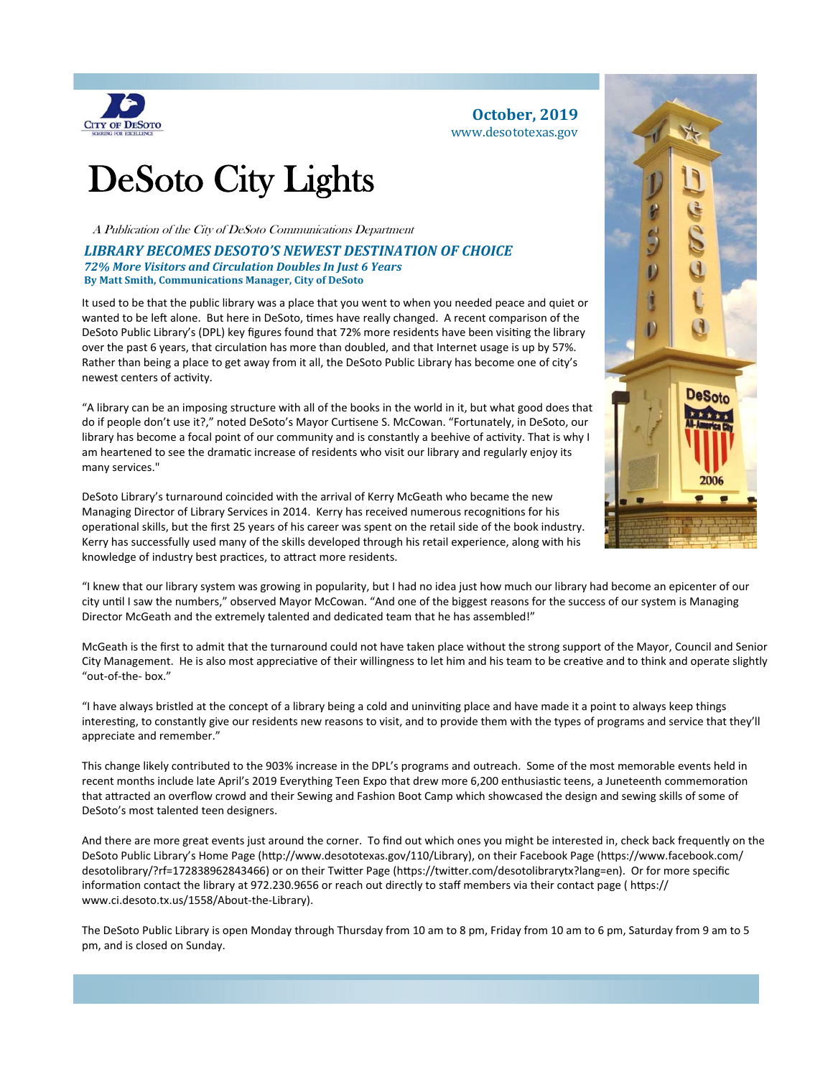

#### **October, 2019** www.desototexas.gov

# DeSoto City Lights

A Publication of the City of DeSoto Communications Department

#### *LIBRARY BECOMES DESOTO'S NEWEST DESTINATION OF CHOICE 72% More Visitors and Circulation Doubles In Just 6 Years* **By Matt Smith, Communications Manager, City of DeSoto**

It used to be that the public library was a place that you went to when you needed peace and quiet or wanted to be left alone. But here in DeSoto, times have really changed. A recent comparison of the DeSoto Public Library's (DPL) key figures found that 72% more residents have been visiting the library over the past 6 years, that circulation has more than doubled, and that Internet usage is up by 57%. Rather than being a place to get away from it all, the DeSoto Public Library has become one of city's newest centers of activity.

"A library can be an imposing structure with all of the books in the world in it, but what good does that do if people don't use it?," noted DeSoto's Mayor Curtisene S. McCowan. "Fortunately, in DeSoto, our library has become a focal point of our community and is constantly a beehive of activity. That is why I am heartened to see the dramatic increase of residents who visit our library and regularly enjoy its many services."

DeSoto Library's turnaround coincided with the arrival of Kerry McGeath who became the new Managing Director of Library Services in 2014. Kerry has received numerous recognitions for his operaƟonal skills, but the first 25 years of his career was spent on the retail side of the book industry. Kerry has successfully used many of the skills developed through his retail experience, along with his knowledge of industry best practices, to attract more residents.



McGeath is the first to admit that the turnaround could not have taken place without the strong support of the Mayor, Council and Senior City Management. He is also most appreciative of their willingness to let him and his team to be creative and to think and operate slightly "out‐of‐the‐ box."

"I have always bristled at the concept of a library being a cold and uninviting place and have made it a point to always keep things interesting, to constantly give our residents new reasons to visit, and to provide them with the types of programs and service that they'll appreciate and remember."

This change likely contributed to the 903% increase in the DPL's programs and outreach. Some of the most memorable events held in recent months include late April's 2019 Everything Teen Expo that drew more 6,200 enthusiastic teens, a Juneteenth commemoration that aƩracted an overflow crowd and their Sewing and Fashion Boot Camp which showcased the design and sewing skills of some of DeSoto's most talented teen designers.

And there are more great events just around the corner. To find out which ones you might be interested in, check back frequently on the DeSoto Public Library's Home Page (http://www.desototexas.gov/110/Library), on their Facebook Page (https://www.facebook.com/ desotolibrary/?rf=172838962843466) or on their Twitter Page (https://twitter.com/desotolibrarytx?lang=en). Or for more specific information contact the library at 972.230.9656 or reach out directly to staff members via their contact page (https:// www.ci.desoto.tx.us/1558/About‐the‐Library).

The DeSoto Public Library is open Monday through Thursday from 10 am to 8 pm, Friday from 10 am to 6 pm, Saturday from 9 am to 5 pm, and is closed on Sunday.

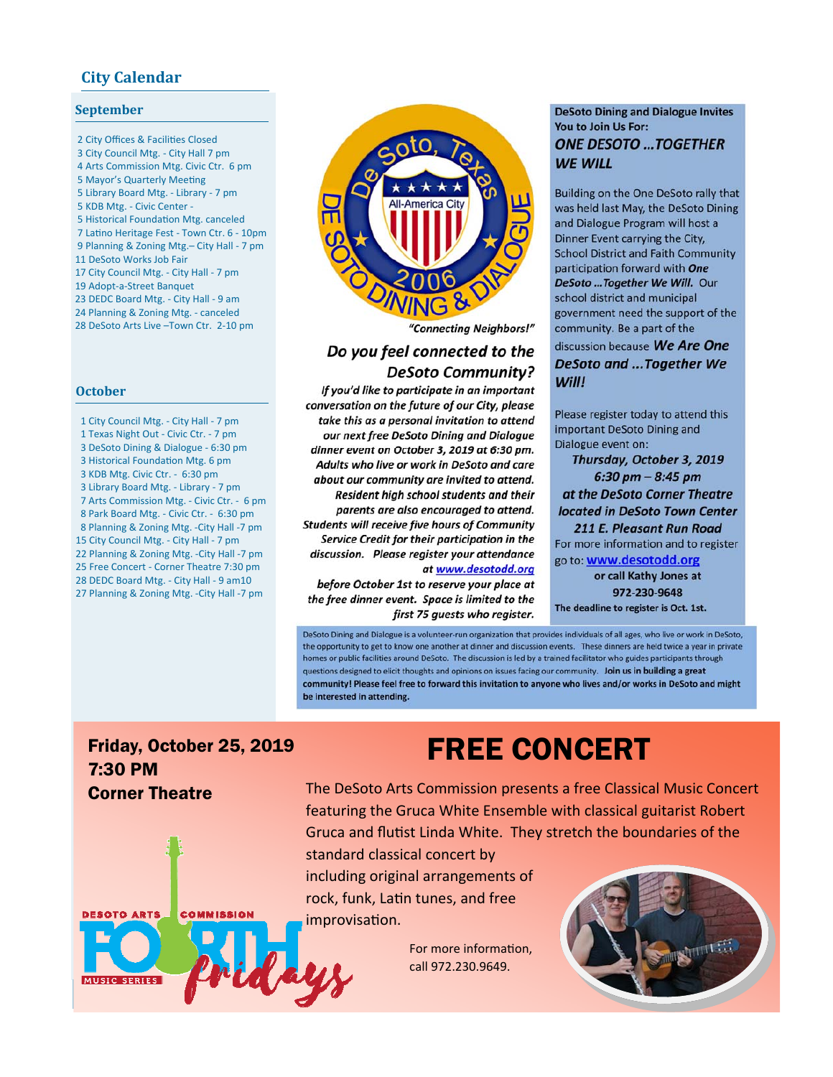### **City Calendar**

#### **September**

2 City Offices & Facilities Closed 3 City Council Mtg. ‐ City Hall 7 pm 4 Arts Commission Mtg. Civic Ctr. 6 pm 5 Mayor's Quarterly Meeting 5 Library Board Mtg. ‐ Library ‐ 7 pm 5 KDB Mtg. ‐ Civic Center ‐ 5 Historical Foundation Mtg. canceled 7 Latino Heritage Fest - Town Ctr. 6 - 10pm 9 Planning & Zoning Mtg.– City Hall ‐ 7 pm 11 DeSoto Works Job Fair 17 City Council Mtg. ‐ City Hall ‐ 7 pm 19 Adopt‐a‐Street Banquet 23 DEDC Board Mtg. ‐ City Hall ‐ 9 am 24 Planning & Zoning Mtg. ‐ canceled 28 DeSoto Arts Live –Town Ctr. 2‐10 pm

#### **October**

 1 City Council Mtg. ‐ City Hall ‐ 7 pm 1 Texas Night Out ‐ Civic Ctr. ‐ 7 pm 3 DeSoto Dining & Dialogue ‐ 6:30 pm 3 Historical Foundation Mtg. 6 pm 3 KDB Mtg. Civic Ctr. ‐ 6:30 pm 3 Library Board Mtg. ‐ Library ‐ 7 pm 7 Arts Commission Mtg. ‐ Civic Ctr. ‐ 6 pm 8 Park Board Mtg. ‐ Civic Ctr. ‐ 6:30 pm 8 Planning & Zoning Mtg. ‐City Hall ‐7 pm 15 City Council Mtg. ‐ City Hall ‐ 7 pm 22 Planning & Zoning Mtg. ‐City Hall ‐7 pm 25 Free Concert ‐ Corner Theatre 7:30 pm 28 DEDC Board Mtg. ‐ City Hall ‐ 9 am10 27 Planning & Zoning Mtg. ‐City Hall ‐7 pm



"Connecting Neighbors!"

### Do you feel connected to the **DeSoto Community?**

If you'd like to participate in an important conversation on the future of our City, please take this as a personal invitation to attend our next free DeSoto Dining and Dialogue dinner event on October 3, 2019 at 6:30 pm. Adults who live or work in DeSoto and care about our community are invited to attend. Resident high school students and their parents are also encouraged to attend. **Students will receive five hours of Community** Service Credit for their participation in the discussion. Please register your attendance at www.desotodd.org

before October 1st to reserve your place at the free dinner event. Space is limited to the first 75 guests who register.

#### **DeSoto Dining and Dialogue Invites** You to Join Us For: **ONE DESOTO ...TOGETHER WE WILL**

Building on the One DeSoto rally that was held last May, the DeSoto Dining and Dialogue Program will host a Dinner Event carrying the City, **School District and Faith Community** participation forward with One DeSoto ... Together We Will. Our school district and municipal government need the support of the community. Be a part of the discussion because We Are One **DeSoto and ...Together We** Will!

Please register today to attend this important DeSoto Dining and Dialogue event on:

Thursday, October 3, 2019  $6:30 \text{ pm} - 8:45 \text{ pm}$ at the DeSoto Corner Theatre located in DeSoto Town Center 211 E. Pleasant Run Road

For more information and to register go to: www.desotodd.org

or call Kathy Jones at 972-230-9648 The deadline to register is Oct. 1st.

DeSoto Dining and Dialogue is a volunteer-run organization that provides individuals of all ages, who live or work in DeSoto. the opportunity to get to know one another at dinner and discussion events. These dinners are held twice a year in private homes or public facilities around DeSoto. The discussion is led by a trained facilitator who guides participants through questions designed to elicit thoughts and opinions on issues facing our community. Join us in building a great community! Please feel free to forward this invitation to anyone who lives and/or works in DeSoto and might be interested in attending.

## Friday, October 25, 2019 7:30 PM Corner Theatre



## FREE CONCERT

The DeSoto Arts Commission presents a free Classical Music Concert featuring the Gruca White Ensemble with classical guitarist Robert Gruca and flutist Linda White. They stretch the boundaries of the

standard classical concert by including original arrangements of rock, funk, Latin tunes, and free improvisation.

> For more information. call 972.230.9649.

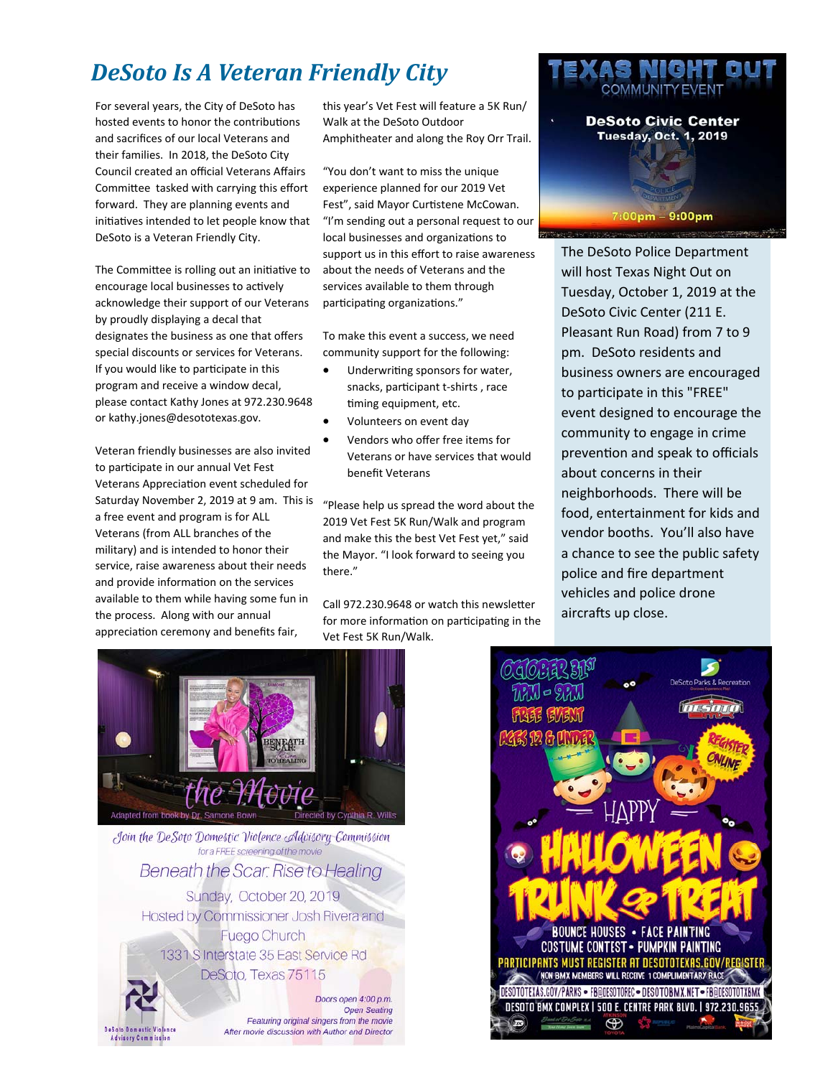## *DeSoto Is A Veteran Friendly City*

hosted events to honor the contributions and sacrifices of our local Veterans and their families. In 2018, the DeSoto City Council created an official Veterans Affairs Committee tasked with carrying this effort forward. They are planning events and initiatives intended to let people know that DeSoto is a Veteran Friendly City.

The Committee is rolling out an initiative to encourage local businesses to actively acknowledge their support of our Veterans by proudly displaying a decal that designates the business as one that offers special discounts or services for Veterans. If you would like to participate in this program and receive a window decal, please contact Kathy Jones at 972.230.9648 or kathy.jones@desototexas.gov.

Veteran friendly businesses are also invited to participate in our annual Vet Fest Veterans AppreciaƟon event scheduled for Saturday November 2, 2019 at 9 am. This is a free event and program is for ALL Veterans (from ALL branches of the military) and is intended to honor their service, raise awareness about their needs and provide information on the services available to them while having some fun in the process. Along with our annual appreciation ceremony and benefits fair,

Walk at the DeSoto Outdoor Amphitheater and along the Roy Orr Trail.

"You don't want to miss the unique experience planned for our 2019 Vet Fest", said Mayor Curtistene McCowan. "I'm sending out a personal request to our local businesses and organizations to support us in this effort to raise awareness about the needs of Veterans and the services available to them through participating organizations."

To make this event a success, we need community support for the following:

- Underwriting sponsors for water, snacks, participant t-shirts, race timing equipment, etc.
- Volunteers on event day
- Vendors who offer free items for Veterans or have services that would benefit Veterans

"Please help us spread the word about the 2019 Vet Fest 5K Run/Walk and program and make this the best Vet Fest yet," said the Mayor. "I look forward to seeing you there."

Call 972.230.9648 or watch this newsletter for more information on participating in the Vet Fest 5K Run/Walk.



MCHT

The DeSoto Police Department will host Texas Night Out on Tuesday, October 1, 2019 at the DeSoto Civic Center (211 E. Pleasant Run Road) from 7 to 9 pm. DeSoto residents and business owners are encouraged to participate in this "FREE" event designed to encourage the community to engage in crime prevention and speak to officials about concerns in their neighborhoods. There will be food, entertainment for kids and vendor booths. You'll also have a chance to see the public safety police and fire department vehicles and police drone aircrafts up close.